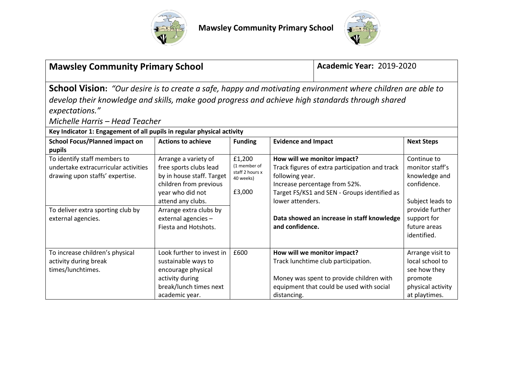



| <b>Mawsley Community Primary School</b>                                                                                                                                                                                                                                                                                                                                                                                                                                                         |                                                                                                                                                                                                                         |                                                                  |                                                        | <b>Academic Year: 2019-2020</b>                                                                                                                                                                              |                                                                                                                                                     |
|-------------------------------------------------------------------------------------------------------------------------------------------------------------------------------------------------------------------------------------------------------------------------------------------------------------------------------------------------------------------------------------------------------------------------------------------------------------------------------------------------|-------------------------------------------------------------------------------------------------------------------------------------------------------------------------------------------------------------------------|------------------------------------------------------------------|--------------------------------------------------------|--------------------------------------------------------------------------------------------------------------------------------------------------------------------------------------------------------------|-----------------------------------------------------------------------------------------------------------------------------------------------------|
| <b>School Vision:</b> "Our desire is to create a safe, happy and motivating environment where children are able to<br>develop their knowledge and skills, make good progress and achieve high standards through shared<br>expectations."<br>Michelle Harris - Head Teacher<br>Key Indicator 1: Engagement of all pupils in regular physical activity<br><b>Evidence and Impact</b><br><b>School Focus/Planned impact on</b><br><b>Actions to achieve</b><br><b>Funding</b><br><b>Next Steps</b> |                                                                                                                                                                                                                         |                                                                  |                                                        |                                                                                                                                                                                                              |                                                                                                                                                     |
| pupils<br>To identify staff members to<br>undertake extracurricular activities<br>drawing upon staffs' expertise.<br>To deliver extra sporting club by<br>external agencies.                                                                                                                                                                                                                                                                                                                    | Arrange a variety of<br>free sports clubs lead<br>by in house staff. Target<br>children from previous<br>year who did not<br>attend any clubs.<br>Arrange extra clubs by<br>external agencies -<br>Fiesta and Hotshots. | £1,200<br>(1 member of<br>staff 2 hours x<br>40 weeks)<br>£3,000 | following year.<br>lower attenders.<br>and confidence. | How will we monitor impact?<br>Track figures of extra participation and track<br>Increase percentage from 52%.<br>Target FS/KS1 and SEN - Groups identified as<br>Data showed an increase in staff knowledge | Continue to<br>monitor staff's<br>knowledge and<br>confidence.<br>Subject leads to<br>provide further<br>support for<br>future areas<br>identified. |
| To increase children's physical<br>activity during break<br>times/lunchtimes.                                                                                                                                                                                                                                                                                                                                                                                                                   | Look further to invest in<br>sustainable ways to<br>encourage physical<br>activity during<br>break/lunch times next<br>academic year.                                                                                   | £600                                                             | distancing.                                            | How will we monitor impact?<br>Track lunchtime club participation.<br>Money was spent to provide children with<br>equipment that could be used with social                                                   | Arrange visit to<br>local school to<br>see how they<br>promote<br>physical activity<br>at playtimes.                                                |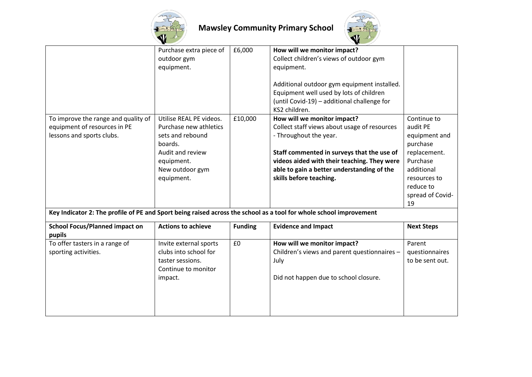



|                                                 | Purchase extra piece of   | £6,000         | How will we monitor impact?                                                                                                                            |                   |
|-------------------------------------------------|---------------------------|----------------|--------------------------------------------------------------------------------------------------------------------------------------------------------|-------------------|
|                                                 | outdoor gym               |                | Collect children's views of outdoor gym                                                                                                                |                   |
|                                                 | equipment.                |                | equipment.                                                                                                                                             |                   |
|                                                 |                           |                | Additional outdoor gym equipment installed.<br>Equipment well used by lots of children<br>(until Covid-19) - additional challenge for<br>KS2 children. |                   |
| To improve the range and quality of             | Utilise REAL PE videos.   | £10,000        | How will we monitor impact?                                                                                                                            | Continue to       |
| equipment of resources in PE                    | Purchase new athletics    |                | Collect staff views about usage of resources                                                                                                           | audit PE          |
| lessons and sports clubs.                       | sets and rebound          |                | - Throughout the year.                                                                                                                                 | equipment and     |
|                                                 | boards.                   |                |                                                                                                                                                        | purchase          |
|                                                 | Audit and review          |                | Staff commented in surveys that the use of                                                                                                             | replacement.      |
|                                                 | equipment.                |                | videos aided with their teaching. They were                                                                                                            | Purchase          |
|                                                 | New outdoor gym           |                | able to gain a better understanding of the                                                                                                             | additional        |
|                                                 | equipment.                |                | skills before teaching.                                                                                                                                | resources to      |
|                                                 |                           |                |                                                                                                                                                        | reduce to         |
|                                                 |                           |                |                                                                                                                                                        | spread of Covid-  |
|                                                 |                           |                |                                                                                                                                                        | 19                |
|                                                 |                           |                | Key Indicator 2: The profile of PE and Sport being raised across the school as a tool for whole school improvement                                     |                   |
| <b>School Focus/Planned impact on</b><br>pupils | <b>Actions to achieve</b> | <b>Funding</b> | <b>Evidence and Impact</b>                                                                                                                             | <b>Next Steps</b> |
| To offer tasters in a range of                  | Invite external sports    | £0             | How will we monitor impact?                                                                                                                            | Parent            |
| sporting activities.                            | clubs into school for     |                | Children's views and parent questionnaires -                                                                                                           | questionnaires    |
|                                                 | taster sessions.          |                | July                                                                                                                                                   | to be sent out.   |
|                                                 | Continue to monitor       |                |                                                                                                                                                        |                   |
|                                                 | impact.                   |                | Did not happen due to school closure.                                                                                                                  |                   |
|                                                 |                           |                |                                                                                                                                                        |                   |
|                                                 |                           |                |                                                                                                                                                        |                   |
|                                                 |                           |                |                                                                                                                                                        |                   |
|                                                 |                           |                |                                                                                                                                                        |                   |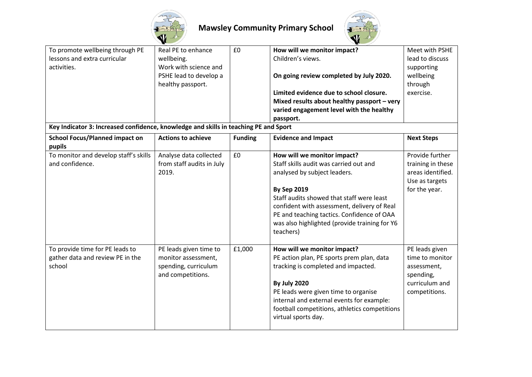



| To promote wellbeing through PE<br>lessons and extra curricular<br>activities.       | Real PE to enhance<br>wellbeing.<br>Work with science and<br>PSHE lead to develop a<br>healthy passport. | £0             | How will we monitor impact?<br>Children's views.<br>On going review completed by July 2020.<br>Limited evidence due to school closure.<br>Mixed results about healthy passport - very<br>varied engagement level with the healthy<br>passport.                                                                                      | Meet with PSHE<br>lead to discuss<br>supporting<br>wellbeing<br>through<br>exercise.             |
|--------------------------------------------------------------------------------------|----------------------------------------------------------------------------------------------------------|----------------|-------------------------------------------------------------------------------------------------------------------------------------------------------------------------------------------------------------------------------------------------------------------------------------------------------------------------------------|--------------------------------------------------------------------------------------------------|
| Key Indicator 3: Increased confidence, knowledge and skills in teaching PE and Sport |                                                                                                          |                |                                                                                                                                                                                                                                                                                                                                     |                                                                                                  |
| <b>School Focus/Planned impact on</b><br>pupils                                      | <b>Actions to achieve</b>                                                                                | <b>Funding</b> | <b>Evidence and Impact</b>                                                                                                                                                                                                                                                                                                          | <b>Next Steps</b>                                                                                |
| To monitor and develop staff's skills<br>and confidence.                             | Analyse data collected<br>from staff audits in July<br>2019.                                             | £0             | How will we monitor impact?<br>Staff skills audit was carried out and<br>analysed by subject leaders.<br><b>By Sep 2019</b><br>Staff audits showed that staff were least<br>confident with assessment, delivery of Real<br>PE and teaching tactics. Confidence of OAA<br>was also highlighted (provide training for Y6<br>teachers) | Provide further<br>training in these<br>areas identified.<br>Use as targets<br>for the year.     |
| To provide time for PE leads to<br>gather data and review PE in the<br>school        | PE leads given time to<br>monitor assessment,<br>spending, curriculum<br>and competitions.               | £1,000         | How will we monitor impact?<br>PE action plan, PE sports prem plan, data<br>tracking is completed and impacted.<br><b>By July 2020</b><br>PE leads were given time to organise<br>internal and external events for example:<br>football competitions, athletics competitions<br>virtual sports day.                                 | PE leads given<br>time to monitor<br>assessment,<br>spending,<br>curriculum and<br>competitions. |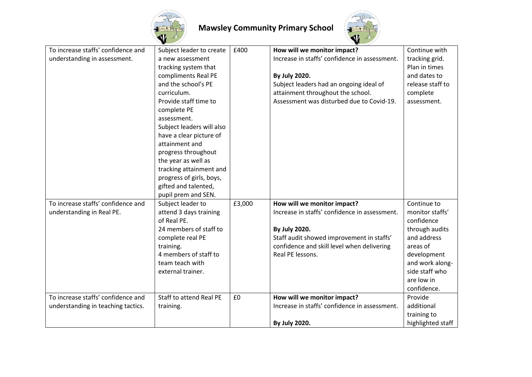



| To increase staffs' confidence and | Subject leader to create  | £400   | How will we monitor impact?                   | Continue with     |
|------------------------------------|---------------------------|--------|-----------------------------------------------|-------------------|
| understanding in assessment.       | a new assessment          |        | Increase in staffs' confidence in assessment. | tracking grid.    |
|                                    | tracking system that      |        |                                               | Plan in times     |
|                                    | compliments Real PE       |        | By July 2020.                                 | and dates to      |
|                                    | and the school's PE       |        | Subject leaders had an ongoing ideal of       | release staff to  |
|                                    | curriculum.               |        | attainment throughout the school.             | complete          |
|                                    | Provide staff time to     |        | Assessment was disturbed due to Covid-19.     | assessment.       |
|                                    | complete PE               |        |                                               |                   |
|                                    | assessment.               |        |                                               |                   |
|                                    | Subject leaders will also |        |                                               |                   |
|                                    | have a clear picture of   |        |                                               |                   |
|                                    | attainment and            |        |                                               |                   |
|                                    | progress throughout       |        |                                               |                   |
|                                    | the year as well as       |        |                                               |                   |
|                                    | tracking attainment and   |        |                                               |                   |
|                                    | progress of girls, boys,  |        |                                               |                   |
|                                    | gifted and talented,      |        |                                               |                   |
|                                    | pupil prem and SEN.       |        |                                               |                   |
| To increase staffs' confidence and | Subject leader to         | £3,000 | How will we monitor impact?                   | Continue to       |
| understanding in Real PE.          | attend 3 days training    |        | Increase in staffs' confidence in assessment. | monitor staffs'   |
|                                    | of Real PE.               |        |                                               | confidence        |
|                                    | 24 members of staff to    |        | By July 2020.                                 | through audits    |
|                                    | complete real PE          |        | Staff audit showed improvement in staffs'     | and address       |
|                                    | training.                 |        | confidence and skill level when delivering    | areas of          |
|                                    | 4 members of staff to     |        | Real PE lessons.                              | development       |
|                                    | team teach with           |        |                                               | and work along-   |
|                                    | external trainer.         |        |                                               | side staff who    |
|                                    |                           |        |                                               | are low in        |
|                                    |                           |        |                                               | confidence.       |
| To increase staffs' confidence and | Staff to attend Real PE   | £0     | How will we monitor impact?                   | Provide           |
| understanding in teaching tactics. | training.                 |        | Increase in staffs' confidence in assessment. | additional        |
|                                    |                           |        |                                               | training to       |
|                                    |                           |        | By July 2020.                                 | highlighted staff |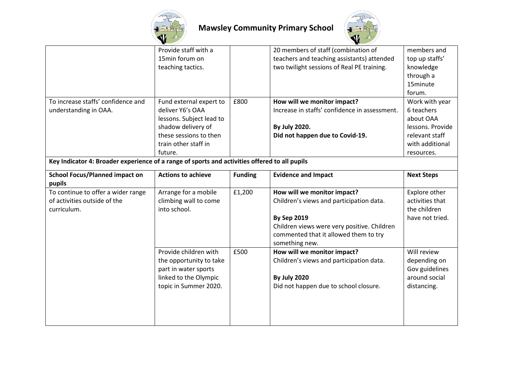



|                                                                                               | Provide staff with a<br>15min forum on<br>teaching tactics.                                                                                                |                | 20 members of staff (combination of<br>teachers and teaching assistants) attended<br>two twilight sessions of Real PE training.                                                                         | members and<br>top up staffs'<br>knowledge<br>through a<br>15minute<br>forum.                                    |
|-----------------------------------------------------------------------------------------------|------------------------------------------------------------------------------------------------------------------------------------------------------------|----------------|---------------------------------------------------------------------------------------------------------------------------------------------------------------------------------------------------------|------------------------------------------------------------------------------------------------------------------|
| To increase staffs' confidence and<br>understanding in OAA.                                   | Fund external expert to<br>deliver Y6's OAA<br>lessons. Subject lead to<br>shadow delivery of<br>these sessions to then<br>train other staff in<br>future. | £800           | How will we monitor impact?<br>Increase in staffs' confidence in assessment.<br>By July 2020.<br>Did not happen due to Covid-19.                                                                        | Work with year<br>6 teachers<br>about OAA<br>lessons. Provide<br>relevant staff<br>with additional<br>resources. |
| Key Indicator 4: Broader experience of a range of sports and activities offered to all pupils |                                                                                                                                                            |                |                                                                                                                                                                                                         |                                                                                                                  |
| <b>School Focus/Planned impact on</b><br>pupils                                               | <b>Actions to achieve</b>                                                                                                                                  | <b>Funding</b> | <b>Evidence and Impact</b>                                                                                                                                                                              | <b>Next Steps</b>                                                                                                |
| To continue to offer a wider range<br>of activities outside of the<br>curriculum.             | Arrange for a mobile<br>climbing wall to come<br>into school.                                                                                              | £1,200         | How will we monitor impact?<br>Children's views and participation data.<br><b>By Sep 2019</b><br>Children views were very positive. Children<br>commented that it allowed them to try<br>something new. | Explore other<br>activities that<br>the children<br>have not tried.                                              |
|                                                                                               | Provide children with<br>the opportunity to take<br>part in water sports<br>linked to the Olympic<br>topic in Summer 2020.                                 | £500           | How will we monitor impact?<br>Children's views and participation data.<br><b>By July 2020</b><br>Did not happen due to school closure.                                                                 | Will review<br>depending on<br>Gov guidelines<br>around social<br>distancing.                                    |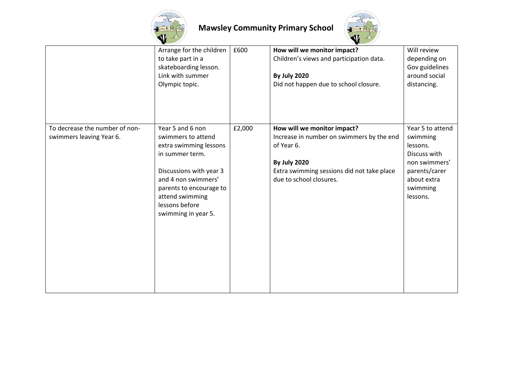



|                                                            | Arrange for the children<br>to take part in a<br>skateboarding lesson.<br>Link with summer<br>Olympic topic.                                                                                                                 | £600   | How will we monitor impact?<br>Children's views and participation data.<br><b>By July 2020</b><br>Did not happen due to school closure.                                                | Will review<br>depending on<br>Gov guidelines<br>around social<br>distancing.                                                     |
|------------------------------------------------------------|------------------------------------------------------------------------------------------------------------------------------------------------------------------------------------------------------------------------------|--------|----------------------------------------------------------------------------------------------------------------------------------------------------------------------------------------|-----------------------------------------------------------------------------------------------------------------------------------|
| To decrease the number of non-<br>swimmers leaving Year 6. | Year 5 and 6 non<br>swimmers to attend<br>extra swimming lessons<br>in summer term.<br>Discussions with year 3<br>and 4 non swimmers'<br>parents to encourage to<br>attend swimming<br>lessons before<br>swimming in year 5. | £2,000 | How will we monitor impact?<br>Increase in number on swimmers by the end<br>of Year 6.<br><b>By July 2020</b><br>Extra swimming sessions did not take place<br>due to school closures. | Year 5 to attend<br>swimming<br>lessons.<br>Discuss with<br>non swimmers'<br>parents/carer<br>about extra<br>swimming<br>lessons. |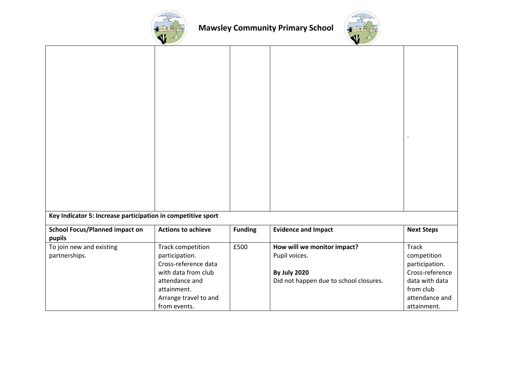



| Key Indicator 5: Increase participation in competitive sport |                           |                |                                        |                   |
|--------------------------------------------------------------|---------------------------|----------------|----------------------------------------|-------------------|
| <b>School Focus/Planned impact on</b>                        | <b>Actions to achieve</b> | <b>Funding</b> | <b>Evidence and Impact</b>             | <b>Next Steps</b> |
| pupils                                                       |                           |                |                                        |                   |
| To join new and existing                                     | Track competition         | £500           | How will we monitor impact?            | <b>Track</b>      |
| partnerships.                                                | participation.            |                | Pupil voices.                          | competition       |
|                                                              | Cross-reference data      |                |                                        | participation.    |
|                                                              | with data from club       |                | <b>By July 2020</b>                    | Cross-reference   |
|                                                              | attendance and            |                | Did not happen due to school closures. | data with data    |
|                                                              | attainment.               |                |                                        | from club         |
|                                                              | Arrange travel to and     |                |                                        | attendance and    |
|                                                              | from events.              |                |                                        | attainment.       |